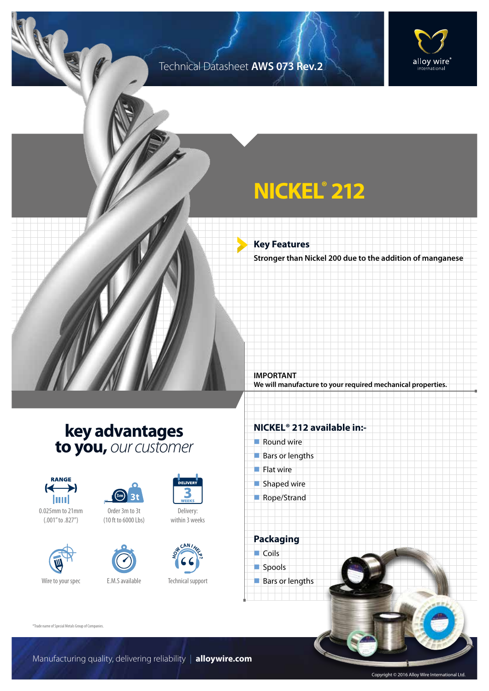### Technical Datasheet **AWS 073 Rev.2**



## **NICKEL® 212**

**Key Features Stronger than Nickel 200 due to the addition of manganese**

**We will manufacture to your required mechanical properties.**

### **key advantages to you,** *our customer*



0.025mm to 21mm (.001" to .827")





Order 3m to 3t (10 ft to 6000 Lbs)



Technical support

**H CAN I H E D** 

Delivery: within 3 weeks

#### **NICKEL® 212 available in:-**

 $\blacksquare$  Round wire

**IMPORTANT**

- $Bars$  or lengths
- $\blacksquare$  Flat wire
- $\blacksquare$  Shaped wire
- Rope/Strand

**Packaging**  $\Box$  Coils spools  $\blacksquare$  Bars or lengths

®Trade name of Special Metals Group of Companies.

Manufacturing quality, delivering reliability | **alloywire.com**

Copyright © 2016 Alloy Wire International Ltd.